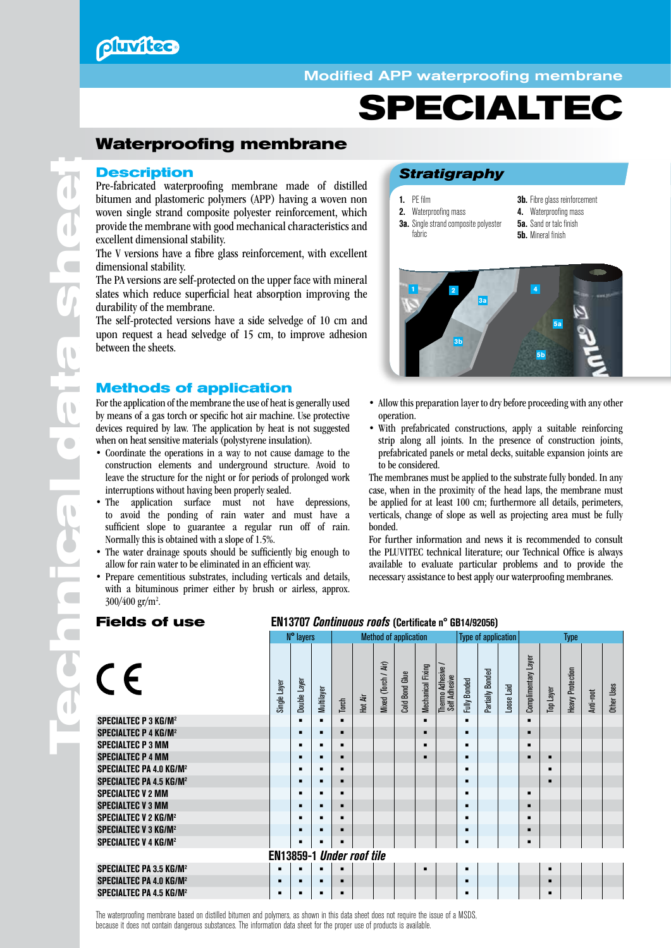# **Pluvitec**

### Modified APP waterproofing membrane

# **SPECIALTEC**

## **Waterproofing membrane**

### **Description**

Pre-fabricated waterproofing membrane made of distilled bitumen and plastomeric polymers (APP) having a woven non woven single strand composite polyester reinforcement, which provide the membrane with good mechanical characteristics and excellent dimensional stability.

The V versions have a fibre glass reinforcement, with excellent dimensional stability.

The PA versions are self-protected on the upper face with mineral slates which reduce superficial heat absorption improving the durability of the membrane.

The self-protected versions have a side selvedge of 10 cm and upon request a head selvedge of 15 cm, to improve adhesion between the sheets.

### **Methods of application**

For the application of the membrane the use of heat is generally used by means of a gas torch or specific hot air machine. Use protective devices required by law. The application by heat is not suggested when on heat sensitive materials (polystyrene insulation).

- Coordinate the operations in a way to not cause damage to the construction elements and underground structure. Avoid to leave the structure for the night or for periods of prolonged work interruptions without having been properly sealed.
- The application surface must not have depressions, to avoid the ponding of rain water and must have a sufficient slope to guarantee a regular run off of rain. Normally this is obtained with a slope of 1.5%.
- The water drainage spouts should be sufficiently big enough to allow for rain water to be eliminated in an efficient way.
- Prepare cementitious substrates, including verticals and details, with a bituminous primer either by brush or airless, approx. 300/400 gr/m<sup>2</sup>.

### *Stratigraphy*

1. PE film 2. Waterproofing mass **3a.** Single strand composite polyester

fabric

- **3b.** Fibre glass reinforcement
- 4. Waterproofing mass
- **5a.** Sand or talc finish
	- **5b.** Mineral finish



- Allow this preparation layer to dry before proceeding with any other operation.
- With prefabricated constructions, apply a suitable reinforcing strip along all joints. In the presence of construction joints, prefabricated panels or metal decks, suitable expansion joints are to be considered.

The membranes must be applied to the substrate fully bonded. In any case, when in the proximity of the head laps, the membrane must be applied for at least 100 cm; furthermore all details, perimeters, verticals, change of slope as well as projecting area must be fully bonded.

For further information and news it is recommended to consult the PLUVITEC technical literature; our Technical Office is always available to evaluate particular problems and to provide the necessary assistance to best apply our waterproofing membranes.

### **Fields of use** EN13707 *Continuous roofs* (Certificate n° GB14/92056)

|                                           |                                  | N° layers      |                |                |         |                     | <b>Method of application</b> |                   |                                    |                     | <b>Type of application</b> |            | Type                |                  |                         |           |                   |
|-------------------------------------------|----------------------------------|----------------|----------------|----------------|---------|---------------------|------------------------------|-------------------|------------------------------------|---------------------|----------------------------|------------|---------------------|------------------|-------------------------|-----------|-------------------|
| CE                                        | Single Layer                     | Double Layer   | Multilayer     | Torch          | Hot Air | Mixed (Torch / Air) | <b>Cold Bond Glue</b>        | Mechanical Fixing | Thermo Adhesive /<br>Self Adhesive | <b>Fully Bonded</b> | Partially Bonded           | Loose Laid | Complimentary Layer | <b>Top Layer</b> | <b>Heavy Protection</b> | Anti-root | <b>Other Uses</b> |
| <b>SPECIALTEC P 3 KG/M<sup>2</sup></b>    |                                  | ٠              | $\blacksquare$ | $\blacksquare$ |         |                     |                              | п                 |                                    |                     |                            |            |                     |                  |                         |           |                   |
| <b>SPECIALTEC P 4 KG/M<sup>2</sup></b>    |                                  | п              | ٠              | п              |         |                     |                              |                   |                                    |                     |                            |            | ▪                   |                  |                         |           |                   |
| <b>SPECIALTEC P 3 MM</b>                  |                                  | ٠              | $\blacksquare$ | п              |         |                     |                              | п                 |                                    |                     |                            |            | ▪                   |                  |                         |           |                   |
| <b>SPECIALTEC P 4 MM</b>                  |                                  | п              |                |                |         |                     |                              |                   |                                    |                     |                            |            | ▪                   | п                |                         |           |                   |
| <b>SPECIALTEC PA 4.0 KG/M<sup>2</sup></b> |                                  | ٠              |                | $\blacksquare$ |         |                     |                              |                   |                                    |                     |                            |            |                     | п                |                         |           |                   |
| <b>SPECIALTEC PA 4.5 KG/M<sup>2</sup></b> |                                  | $\blacksquare$ | ٠              | ٠              |         |                     |                              |                   |                                    |                     |                            |            |                     | п                |                         |           |                   |
| <b>SPECIALTEC V 2 MM</b>                  |                                  | $\blacksquare$ | $\blacksquare$ | $\blacksquare$ |         |                     |                              |                   |                                    |                     |                            |            | ▪                   |                  |                         |           |                   |
| <b>SPECIALTEC V 3 MM</b>                  |                                  | п              | ٠              | п              |         |                     |                              |                   |                                    |                     |                            |            |                     |                  |                         |           |                   |
| <b>SPECIALTEC V 2 KG/M<sup>2</sup></b>    |                                  | ٠              | $\blacksquare$ | $\blacksquare$ |         |                     |                              |                   |                                    |                     |                            |            | ▪                   |                  |                         |           |                   |
| <b>SPECIALTEC V 3 KG/M<sup>2</sup></b>    |                                  | п              |                | п              |         |                     |                              |                   |                                    |                     |                            |            |                     |                  |                         |           |                   |
| <b>SPECIALTEC V 4 KG/M<sup>2</sup></b>    |                                  | ٠              |                |                |         |                     |                              |                   |                                    |                     |                            |            |                     |                  |                         |           |                   |
|                                           | <b>EN13859-1 Under roof tile</b> |                |                |                |         |                     |                              |                   |                                    |                     |                            |            |                     |                  |                         |           |                   |
| <b>SPECIALTEC PA 3.5 KG/M<sup>2</sup></b> | п                                | ٠              | ٠              | $\blacksquare$ |         |                     |                              | п                 |                                    | ٠                   |                            |            |                     | п                |                         |           |                   |
| <b>SPECIALTEC PA 4.0 KG/M<sup>2</sup></b> | п                                | п              | п              |                |         |                     |                              |                   |                                    |                     |                            |            |                     | п                |                         |           |                   |
| <b>SPECIALTEC PA 4.5 KG/M<sup>2</sup></b> | ٠                                | ٠              | ٠              | п              |         |                     |                              |                   |                                    |                     |                            |            |                     | п                |                         |           |                   |

The waterproofing membrane based on distilled bitumen and polymers, as shown in this data sheet does not require the issue of a MSDS, because it does not contain dangerous substances. The information data sheet for the proper use of products is available.